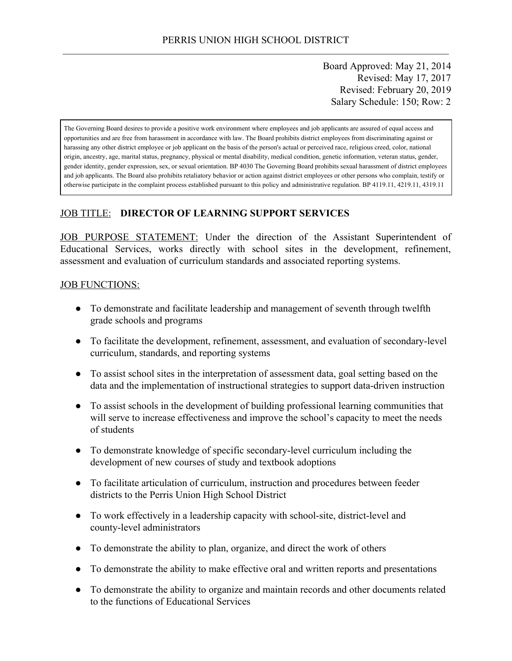Board Approved: May 21, 2014 Revised: May 17, 2017 Revised: February 20, 2019 Salary Schedule: 150; Row: 2

The Governing Board desires to provide a positive work environment where employees and job applicants are assured of equal access and opportunities and are free from harassment in accordance with law. The Board prohibits district employees from discriminating against or harassing any other district employee or job applicant on the basis of the person's actual or perceived race, religious creed, color, national origin, ancestry, age, marital status, pregnancy, physical or mental disability, medical condition, genetic information, veteran status, gender, gender identity, gender expression, sex, or sexual orientation. BP 4030 The Governing Board prohibits sexual harassment of district employees and job applicants. The Board also prohibits retaliatory behavior or action against district employees or other persons who complain, testify or otherwise participate in the complaint process established pursuant to this policy and administrative regulation. BP 4119.11, 4219.11, 4319.11

#### JOB TITLE: **DIRECTOR OF LEARNING SUPPORT SERVICES**

JOB PURPOSE STATEMENT: Under the direction of the Assistant Superintendent of Educational Services, works directly with school sites in the development, refinement, assessment and evaluation of curriculum standards and associated reporting systems.

#### **JOB FUNCTIONS:**

- To demonstrate and facilitate leadership and management of seventh through twelfth grade schools and programs
- To facilitate the development, refinement, assessment, and evaluation of secondary-level curriculum, standards, and reporting systems
- To assist school sites in the interpretation of assessment data, goal setting based on the data and the implementation of instructional strategies to support data-driven instruction
- To assist schools in the development of building professional learning communities that will serve to increase effectiveness and improve the school's capacity to meet the needs of students
- To demonstrate knowledge of specific secondary-level curriculum including the development of new courses of study and textbook adoptions
- To facilitate articulation of curriculum, instruction and procedures between feeder districts to the Perris Union High School District
- To work effectively in a leadership capacity with school-site, district-level and county-level administrators
- To demonstrate the ability to plan, organize, and direct the work of others
- To demonstrate the ability to make effective oral and written reports and presentations
- To demonstrate the ability to organize and maintain records and other documents related to the functions of Educational Services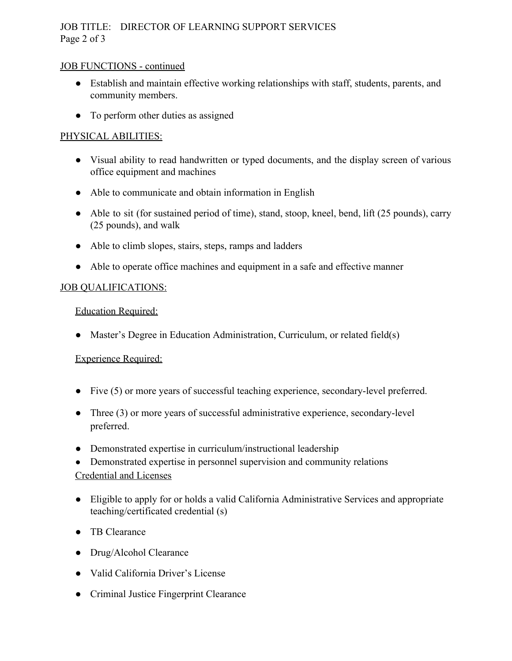# JOB TITLE: DIRECTOR OF LEARNING SUPPORT SERVICES Page 2 of 3

#### JOB FUNCTIONS - continued

- Establish and maintain effective working relationships with staff, students, parents, and community members.
- To perform other duties as assigned

## PHYSICAL ABILITIES:

- Visual ability to read handwritten or typed documents, and the display screen of various office equipment and machines
- Able to communicate and obtain information in English
- Able to sit (for sustained period of time), stand, stoop, kneel, bend, lift (25 pounds), carry (25 pounds), and walk
- Able to climb slopes, stairs, steps, ramps and ladders
- Able to operate office machines and equipment in a safe and effective manner

### JOB QUALIFICATIONS:

### Education Required:

• Master's Degree in Education Administration, Curriculum, or related field(s)

### Experience Required:

- Five (5) or more years of successful teaching experience, secondary-level preferred.
- Three (3) or more years of successful administrative experience, secondary-level preferred.
- Demonstrated expertise in curriculum/instructional leadership
- Demonstrated expertise in personnel supervision and community relations Credential and Licenses
- Eligible to apply for or holds a valid California Administrative Services and appropriate teaching/certificated credential (s)
- TB Clearance
- Drug/Alcohol Clearance
- Valid California Driver's License
- Criminal Justice Fingerprint Clearance